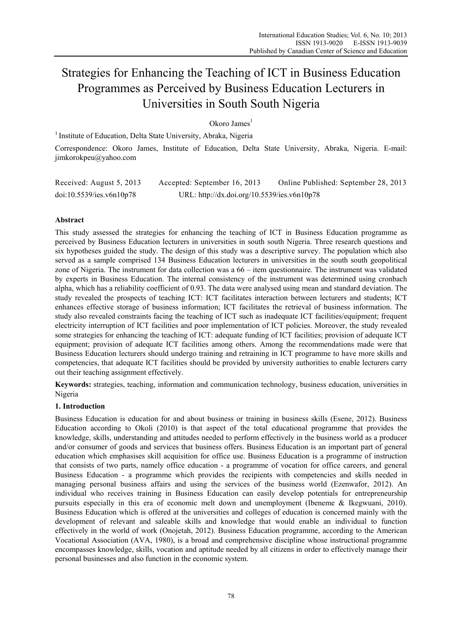# Strategies for Enhancing the Teaching of ICT in Business Education Programmes as Perceived by Business Education Lecturers in Universities in South South Nigeria

# Okoro James $<sup>1</sup>$ </sup>

<sup>1</sup> Institute of Education, Delta State University, Abraka, Nigeria

Correspondence: Okoro James, Institute of Education, Delta State University, Abraka, Nigeria. E-mail: jimkorokpeu@yahoo.com

Received: August 5, 2013 Accepted: September 16, 2013 Online Published: September 28, 2013 doi:10.5539/ies.v6n10p78 URL: http://dx.doi.org/10.5539/ies.v6n10p78

# **Abstract**

This study assessed the strategies for enhancing the teaching of ICT in Business Education programme as perceived by Business Education lecturers in universities in south south Nigeria. Three research questions and six hypotheses guided the study. The design of this study was a descriptive survey. The population which also served as a sample comprised 134 Business Education lecturers in universities in the south south geopolitical zone of Nigeria. The instrument for data collection was a 66 – item questionnaire. The instrument was validated by experts in Business Education. The internal consistency of the instrument was determined using cronbach alpha, which has a reliability coefficient of 0.93. The data were analysed using mean and standard deviation. The study revealed the prospects of teaching ICT: ICT facilitates interaction between lecturers and students; ICT enhances effective storage of business information; ICT facilitates the retrieval of business information. The study also revealed constraints facing the teaching of ICT such as inadequate ICT facilities/equipment; frequent electricity interruption of ICT facilities and poor implementation of ICT policies. Moreover, the study revealed some strategies for enhancing the teaching of ICT: adequate funding of ICT facilities; provision of adequate ICT equipment; provision of adequate ICT facilities among others. Among the recommendations made were that Business Education lecturers should undergo training and retraining in ICT programme to have more skills and competencies, that adequate ICT facilities should be provided by university authorities to enable lecturers carry out their teaching assignment effectively.

**Keywords:** strategies, teaching, information and communication technology, business education, universities in Nigeria

# **1. Introduction**

Business Education is education for and about business or training in business skills (Esene, 2012). Business Education according to Okoli (2010) is that aspect of the total educational programme that provides the knowledge, skills, understanding and attitudes needed to perform effectively in the business world as a producer and/or consumer of goods and services that business offers. Business Education is an important part of general education which emphasises skill acquisition for office use. Business Education is a programme of instruction that consists of two parts, namely office education - a programme of vocation for office careers, and general Business Education - a programme which provides the recipients with competencies and skills needed in managing personal business affairs and using the services of the business world (Ezenwafor, 2012). An individual who receives training in Business Education can easily develop potentials for entrepreneurship pursuits especially in this era of economic melt down and unemployment (Ibeneme & Ikegwuani, 2010). Business Education which is offered at the universities and colleges of education is concerned mainly with the development of relevant and saleable skills and knowledge that would enable an individual to function effectively in the world of work (Onojetah, 2012). Business Education programme, according to the American Vocational Association (AVA, 1980), is a broad and comprehensive discipline whose instructional programme encompasses knowledge, skills, vocation and aptitude needed by all citizens in order to effectively manage their personal businesses and also function in the economic system.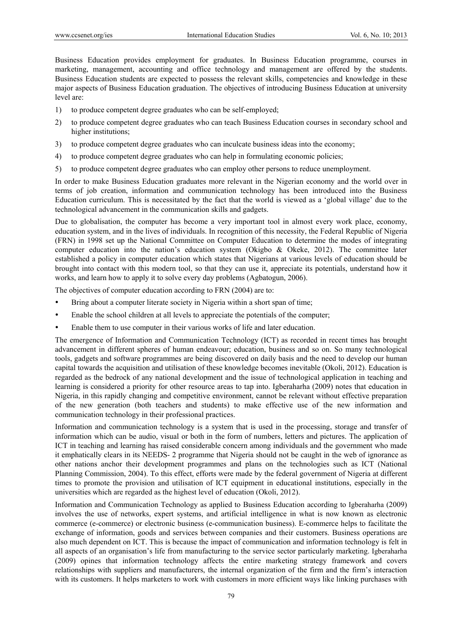Business Education provides employment for graduates. In Business Education programme, courses in marketing, management, accounting and office technology and management are offered by the students. Business Education students are expected to possess the relevant skills, competencies and knowledge in these major aspects of Business Education graduation. The objectives of introducing Business Education at university level are:

- 1) to produce competent degree graduates who can be self-employed;
- 2) to produce competent degree graduates who can teach Business Education courses in secondary school and higher institutions;
- 3) to produce competent degree graduates who can inculcate business ideas into the economy;
- 4) to produce competent degree graduates who can help in formulating economic policies;
- 5) to produce competent degree graduates who can employ other persons to reduce unemployment.

In order to make Business Education graduates more relevant in the Nigerian economy and the world over in terms of job creation, information and communication technology has been introduced into the Business Education curriculum. This is necessitated by the fact that the world is viewed as a 'global village' due to the technological advancement in the communication skills and gadgets.

Due to globalisation, the computer has become a very important tool in almost every work place, economy, education system, and in the lives of individuals. In recognition of this necessity, the Federal Republic of Nigeria (FRN) in 1998 set up the National Committee on Computer Education to determine the modes of integrating computer education into the nation's education system (Okigbo  $\&$  Okeke, 2012). The committee later established a policy in computer education which states that Nigerians at various levels of education should be brought into contact with this modern tool, so that they can use it, appreciate its potentials, understand how it works, and learn how to apply it to solve every day problems (Agbatogun, 2006).

The objectives of computer education according to FRN (2004) are to:

- Bring about a computer literate society in Nigeria within a short span of time;
- Enable the school children at all levels to appreciate the potentials of the computer;
- Enable them to use computer in their various works of life and later education.

The emergence of Information and Communication Technology (ICT) as recorded in recent times has brought advancement in different spheres of human endeavour; education, business and so on. So many technological tools, gadgets and software programmes are being discovered on daily basis and the need to develop our human capital towards the acquisition and utilisation of these knowledge becomes inevitable (Okoli, 2012). Education is regarded as the bedrock of any national development and the issue of technological application in teaching and learning is considered a priority for other resource areas to tap into. Igberaharha (2009) notes that education in Nigeria, in this rapidly changing and competitive environment, cannot be relevant without effective preparation of the new generation (both teachers and students) to make effective use of the new information and communication technology in their professional practices.

Information and communication technology is a system that is used in the processing, storage and transfer of information which can be audio, visual or both in the form of numbers, letters and pictures. The application of ICT in teaching and learning has raised considerable concern among individuals and the government who made it emphatically clears in its NEEDS- 2 programme that Nigeria should not be caught in the web of ignorance as other nations anchor their development programmes and plans on the technologies such as ICT (National Planning Commission, 2004). To this effect, efforts were made by the federal government of Nigeria at different times to promote the provision and utilisation of ICT equipment in educational institutions, especially in the universities which are regarded as the highest level of education (Okoli, 2012).

Information and Communication Technology as applied to Business Education according to Igberaharha (2009) involves the use of networks, expert systems, and artificial intelligence in what is now known as electronic commerce (e-commerce) or electronic business (e-communication business). E-commerce helps to facilitate the exchange of information, goods and services between companies and their customers. Business operations are also much dependent on ICT. This is because the impact of communication and information technology is felt in all aspects of an organisation's life from manufacturing to the service sector particularly marketing. Igberaharha (2009) opines that information technology affects the entire marketing strategy framework and covers relationships with suppliers and manufacturers, the internal organization of the firm and the firm's interaction with its customers. It helps marketers to work with customers in more efficient ways like linking purchases with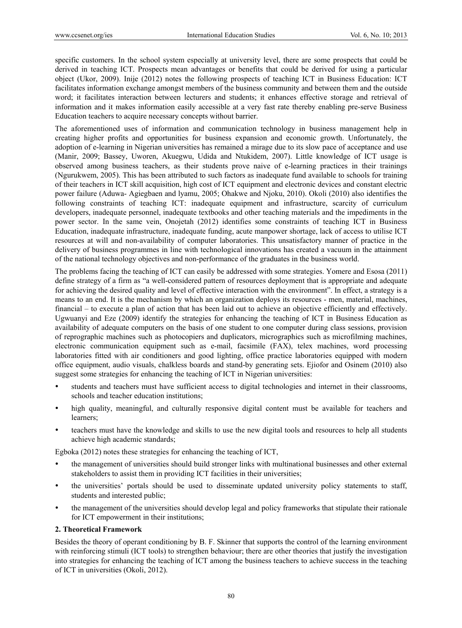specific customers. In the school system especially at university level, there are some prospects that could be derived in teaching ICT. Prospects mean advantages or benefits that could be derived for using a particular object (Ukor, 2009). Inije (2012) notes the following prospects of teaching ICT in Business Education: ICT facilitates information exchange amongst members of the business community and between them and the outside word; it facilitates interaction between lecturers and students; it enhances effective storage and retrieval of information and it makes information easily accessible at a very fast rate thereby enabling pre-serve Business Education teachers to acquire necessary concepts without barrier.

The aforementioned uses of information and communication technology in business management help in creating higher profits and opportunities for business expansion and economic growth. Unfortunately, the adoption of e-learning in Nigerian universities has remained a mirage due to its slow pace of acceptance and use (Manir, 2009; Bassey, Uworen, Akuegwu, Udida and Ntukidem, 2007). Little knowledge of ICT usage is observed among business teachers, as their students prove naive of e-learning practices in their trainings (Ngurukwem, 2005). This has been attributed to such factors as inadequate fund available to schools for training of their teachers in ICT skill acquisition, high cost of ICT equipment and electronic devices and constant electric power failure (Aduwa- Agiegbaen and lyamu, 2005; Ohakwe and Njoku, 2010). Okoli (2010) also identifies the following constraints of teaching ICT: inadequate equipment and infrastructure, scarcity of curriculum developers, inadequate personnel, inadequate textbooks and other teaching materials and the impediments in the power sector. In the same vein, Onojetah (2012) identifies some constraints of teaching ICT in Business Education, inadequate infrastructure, inadequate funding, acute manpower shortage, lack of access to utilise ICT resources at will and non-availability of computer laboratories. This unsatisfactory manner of practice in the delivery of business programmes in line with technological innovations has created a vacuum in the attainment of the national technology objectives and non-performance of the graduates in the business world.

The problems facing the teaching of ICT can easily be addressed with some strategies. Yomere and Esosa (2011) define strategy of a firm as "a well-considered pattern of resources deployment that is appropriate and adequate for achieving the desired quality and level of effective interaction with the environment". In effect, a strategy is a means to an end. It is the mechanism by which an organization deploys its resources - men, material, machines, financial – to execute a plan of action that has been laid out to achieve an objective efficiently and effectively. Ugwuanyi and Eze (2009) identify the strategies for enhancing the teaching of ICT in Business Education as availability of adequate computers on the basis of one student to one computer during class sessions, provision of reprographic machines such as photocopiers and duplicators, micrographics such as microfilming machines, electronic communication equipment such as e-mail, facsimile (FAX), telex machines, word processing laboratories fitted with air conditioners and good lighting, office practice laboratories equipped with modern office equipment, audio visuals, chalkless boards and stand-by generating sets. Ejiofor and Osinem (2010) also suggest some strategies for enhancing the teaching of ICT in Nigerian universities:

- students and teachers must have sufficient access to digital technologies and internet in their classrooms, schools and teacher education institutions;
- high quality, meaningful, and culturally responsive digital content must be available for teachers and learners;
- teachers must have the knowledge and skills to use the new digital tools and resources to help all students achieve high academic standards;

Egboka (2012) notes these strategies for enhancing the teaching of ICT,

- the management of universities should build stronger links with multinational businesses and other external stakeholders to assist them in providing ICT facilities in their universities;
- the universities' portals should be used to disseminate updated university policy statements to staff, students and interested public;
- the management of the universities should develop legal and policy frameworks that stipulate their rationale for ICT empowerment in their institutions;

#### **2. Theoretical Framework**

Besides the theory of operant conditioning by B. F. Skinner that supports the control of the learning environment with reinforcing stimuli (ICT tools) to strengthen behaviour; there are other theories that justify the investigation into strategies for enhancing the teaching of ICT among the business teachers to achieve success in the teaching of ICT in universities (Okoli, 2012).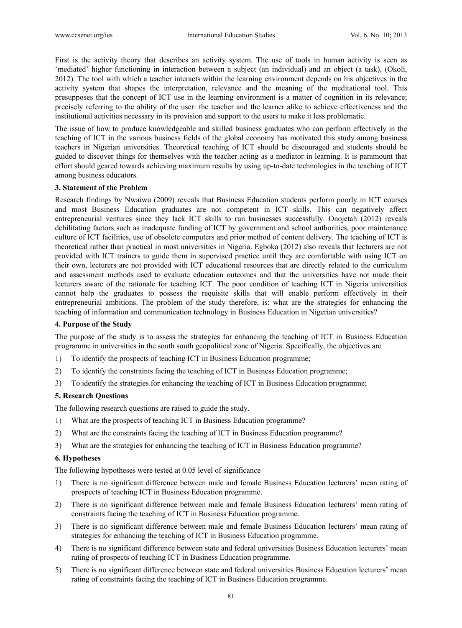First is the activity theory that describes an activity system. The use of tools in human activity is seen as 'mediated' higher functioning in interaction between a subject (an individual) and an object (a task), (Okoli, 2012). The tool with which a teacher interacts within the learning environment depends on his objectives in the activity system that shapes the interpretation, relevance and the meaning of the meditational tool. This presupposes that the concept of ICT use in the learning environment is a matter of cognition in its relevance; precisely referring to the ability of the user: the teacher and the learner alike to achieve effectiveness and the institutional activities necessary in its provision and support to the users to make it less problematic.

The issue of how to produce knowledgeable and skilled business graduates who can perform effectively in the teaching of ICT in the various business fields of the global economy has motivated this study among business teachers in Nigerian universities. Theoretical teaching of ICT should be discouraged and students should be guided to discover things for themselves with the teacher acting as a mediator in learning. It is paramount that effort should geared towards achieving maximum results by using up-to-date technologies in the teaching of ICT among business educators.

#### **3. Statement of the Problem**

Research findings by Nwaiwu (2009) reveals that Business Education students perform poorly in ICT courses and most Business Education graduates are not competent in ICT skills. This can negatively affect entrepreneurial ventures since they lack ICT skills to run businesses successfully. Onojetah (2012) reveals debilitating factors such as inadequate funding of ICT by government and school authorities, poor maintenance culture of ICT facilities, use of obsolete computers and prior method of content delivery. The teaching of ICT is theoretical rather than practical in most universities in Nigeria. Egboka (2012) also reveals that lecturers are not provided with ICT trainers to guide them in supervised practice until they are comfortable with using ICT on their own, lecturers are not provided with ICT educational resources that are directly related to the curriculum and assessment methods used to evaluate education outcomes and that the universities have not made their lecturers aware of the rationale for teaching ICT. The poor condition of teaching ICT in Nigeria universities cannot help the graduates to possess the requisite skills that will enable perform effectively in their entrepreneurial ambitions. The problem of the study therefore, is: what are the strategies for enhancing the teaching of information and communication technology in Business Education in Nigerian universities?

#### **4. Purpose of the Study**

The purpose of the study is to assess the strategies for enhancing the teaching of ICT in Business Education programme in universities in the south south geopolitical zone of Nigeria. Specifically, the objectives are

- 1) To identify the prospects of teaching ICT in Business Education programme;
- 2) To identify the constraints facing the teaching of ICT in Business Education programme;
- 3) To identify the strategies for enhancing the teaching of ICT in Business Education programme;

#### **5. Research Questions**

The following research questions are raised to guide the study.

- 1) What are the prospects of teaching ICT in Business Education programme?
- 2) What are the constraints facing the teaching of ICT in Business Education programme?
- 3) What are the strategies for enhancing the teaching of ICT in Business Education programme?

#### **6. Hypotheses**

The following hypotheses were tested at 0.05 level of significance

- 1) There is no significant difference between male and female Business Education lecturers' mean rating of prospects of teaching ICT in Business Education programme.
- 2) There is no significant difference between male and female Business Education lecturers' mean rating of constraints facing the teaching of ICT in Business Education programme.
- 3) There is no significant difference between male and female Business Education lecturers' mean rating of strategies for enhancing the teaching of ICT in Business Education programme.
- 4) There is no significant difference between state and federal universities Business Education lecturers' mean rating of prospects of teaching ICT in Business Education programme.
- 5) There is no significant difference between state and federal universities Business Education lecturers' mean rating of constraints facing the teaching of ICT in Business Education programme.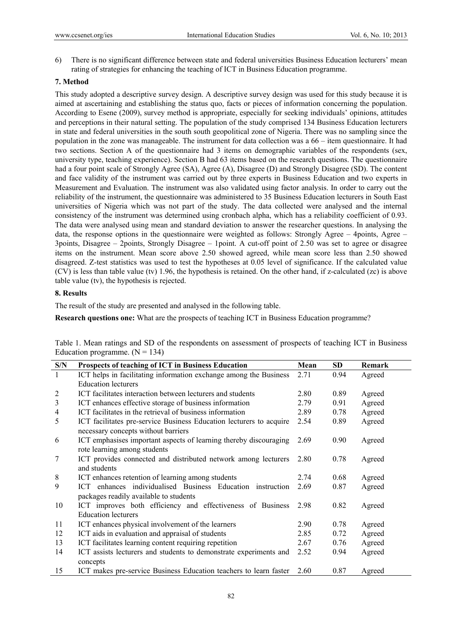6) There is no significant difference between state and federal universities Business Education lecturers' mean rating of strategies for enhancing the teaching of ICT in Business Education programme.

# **7. Method**

This study adopted a descriptive survey design. A descriptive survey design was used for this study because it is aimed at ascertaining and establishing the status quo, facts or pieces of information concerning the population. According to Esene (2009), survey method is appropriate, especially for seeking individuals' opinions, attitudes and perceptions in their natural setting. The population of the study comprised 134 Business Education lecturers in state and federal universities in the south south geopolitical zone of Nigeria. There was no sampling since the population in the zone was manageable. The instrument for data collection was a 66 – item questionnaire. It had two sections. Section A of the questionnaire had 3 items on demographic variables of the respondents (sex, university type, teaching experience). Section B had 63 items based on the research questions. The questionnaire had a four point scale of Strongly Agree (SA), Agree (A), Disagree (D) and Strongly Disagree (SD). The content and face validity of the instrument was carried out by three experts in Business Education and two experts in Measurement and Evaluation. The instrument was also validated using factor analysis. In order to carry out the reliability of the instrument, the questionnaire was administered to 35 Business Education lecturers in South East universities of Nigeria which was not part of the study. The data collected were analysed and the internal consistency of the instrument was determined using cronbach alpha, which has a reliability coefficient of 0.93. The data were analysed using mean and standard deviation to answer the researcher questions. In analysing the data, the response options in the questionnaire were weighted as follows: Strongly Agree – 4points, Agree – 3points, Disagree – 2points, Strongly Disagree – 1point. A cut-off point of 2.50 was set to agree or disagree items on the instrument. Mean score above 2.50 showed agreed, while mean score less than 2.50 showed disagreed. Z-test statistics was used to test the hypotheses at 0.05 level of significance. If the calculated value (CV) is less than table value (tv) 1.96, the hypothesis is retained. On the other hand, if z-calculated (zc) is above table value (tv), the hypothesis is rejected.

# **8. Results**

The result of the study are presented and analysed in the following table.

**Research questions one:** What are the prospects of teaching ICT in Business Education programme?

Table 1. Mean ratings and SD of the respondents on assessment of prospects of teaching ICT in Business Education programme.  $(N = 134)$ 

| S/N            | Prospects of teaching of ICT in Business Education                  | Mean | <b>SD</b> | Remark |
|----------------|---------------------------------------------------------------------|------|-----------|--------|
| $\mathbf{1}$   | ICT helps in facilitating information exchange among the Business   | 2.71 | 0.94      | Agreed |
|                | <b>Education lecturers</b>                                          |      |           |        |
| $\overline{2}$ | ICT facilitates interaction between lecturers and students          | 2.80 | 0.89      | Agreed |
| 3              | ICT enhances effective storage of business information              | 2.79 | 0.91      | Agreed |
| 4              | ICT facilitates in the retrieval of business information            | 2.89 | 0.78      | Agreed |
| 5              | ICT facilitates pre-service Business Education lecturers to acquire | 2.54 | 0.89      | Agreed |
|                | necessary concepts without barriers                                 |      |           |        |
| 6              | ICT emphasises important aspects of learning thereby discouraging   | 2.69 | 0.90      | Agreed |
|                | rote learning among students                                        |      |           |        |
| 7              | ICT provides connected and distributed network among lecturers      | 2.80 | 0.78      | Agreed |
|                | and students                                                        |      |           |        |
| 8              | ICT enhances retention of learning among students                   | 2.74 | 0.68      | Agreed |
| 9              | ICT enhances individualised Business Education instruction          | 2.69 | 0.87      | Agreed |
|                | packages readily available to students                              |      |           |        |
| 10             | ICT improves both efficiency and effectiveness of Business          | 2.98 | 0.82      | Agreed |
|                | <b>Education lecturers</b>                                          |      |           |        |
| 11             | ICT enhances physical involvement of the learners                   | 2.90 | 0.78      | Agreed |
| 12             | ICT aids in evaluation and appraisal of students                    | 2.85 | 0.72      | Agreed |
| 13             | ICT facilitates learning content requiring repetition               | 2.67 | 0.76      | Agreed |
| 14             | ICT assists lecturers and students to demonstrate experiments and   | 2.52 | 0.94      | Agreed |
|                | concepts                                                            |      |           |        |
| 15             | ICT makes pre-service Business Education teachers to learn faster   | 2.60 | 0.87      | Agreed |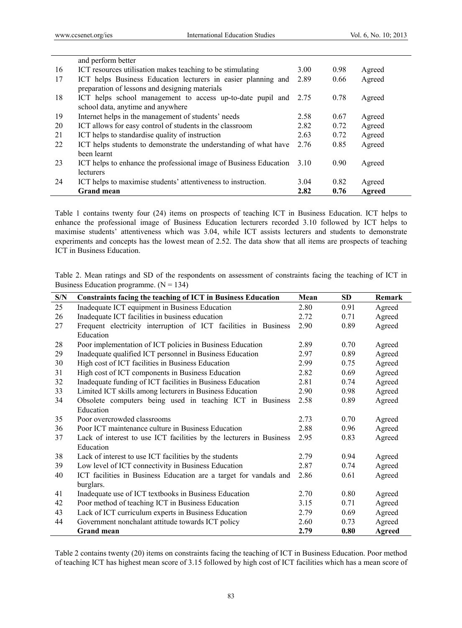|    | and perform better                                                |      |      |        |
|----|-------------------------------------------------------------------|------|------|--------|
| 16 | ICT resources utilisation makes teaching to be stimulating        | 3.00 | 0.98 | Agreed |
| 17 | ICT helps Business Education lecturers in easier planning and     | 2.89 | 0.66 | Agreed |
|    | preparation of lessons and designing materials                    |      |      |        |
| 18 | ICT helps school management to access up-to-date pupil and        | 2.75 | 0.78 | Agreed |
|    | school data, anytime and anywhere                                 |      |      |        |
| 19 | Internet helps in the management of students' needs               | 2.58 | 0.67 | Agreed |
| 20 | ICT allows for easy control of students in the classroom          | 2.82 | 0.72 | Agreed |
| 21 | ICT helps to standardise quality of instruction                   | 2.63 | 0.72 | Agreed |
| 22 | ICT helps students to demonstrate the understanding of what have  | 2.76 | 0.85 | Agreed |
|    | been learnt                                                       |      |      |        |
| 23 | ICT helps to enhance the professional image of Business Education | 3.10 | 0.90 | Agreed |
|    | <b>lecturers</b>                                                  |      |      |        |
| 24 | ICT helps to maximise students' attentiveness to instruction.     | 3.04 | 0.82 | Agreed |
|    | <b>Grand mean</b>                                                 | 2.82 | 0.76 | Agreed |

Table 1 contains twenty four (24) items on prospects of teaching ICT in Business Education. ICT helps to enhance the professional image of Business Education lecturers recorded 3.10 followed by ICT helps to maximise students' attentiveness which was 3.04, while ICT assists lecturers and students to demonstrate experiments and concepts has the lowest mean of 2.52. The data show that all items are prospects of teaching ICT in Business Education.

Table 2. Mean ratings and SD of the respondents on assessment of constraints facing the teaching of ICT in Business Education programme.  $(N = 134)$ 

| S/N | <b>Constraints facing the teaching of ICT in Business Education</b> | Mean | SD.  | Remark        |
|-----|---------------------------------------------------------------------|------|------|---------------|
| 25  | Inadequate ICT equipment in Business Education                      | 2.80 | 0.91 | Agreed        |
| 26  | Inadequate ICT facilities in business education                     | 2.72 | 0.71 | Agreed        |
| 27  | Frequent electricity interruption of ICT facilities in Business     | 2.90 | 0.89 | Agreed        |
|     | Education                                                           |      |      |               |
| 28  | Poor implementation of ICT policies in Business Education           | 2.89 | 0.70 | Agreed        |
| 29  | Inadequate qualified ICT personnel in Business Education            | 2.97 | 0.89 | Agreed        |
| 30  | High cost of ICT facilities in Business Education                   | 2.99 | 0.75 | Agreed        |
| 31  | High cost of ICT components in Business Education                   | 2.82 | 0.69 | Agreed        |
| 32  | Inadequate funding of ICT facilities in Business Education          | 2.81 | 0.74 | Agreed        |
| 33  | Limited ICT skills among lecturers in Business Education            | 2.90 | 0.98 | Agreed        |
| 34  | Obsolete computers being used in teaching ICT in Business           | 2.58 | 0.89 | Agreed        |
|     | Education                                                           |      |      |               |
| 35  | Poor overcrowded classrooms                                         | 2.73 | 0.70 | Agreed        |
| 36  | Poor ICT maintenance culture in Business Education                  | 2.88 | 0.96 | Agreed        |
| 37  | Lack of interest to use ICT facilities by the lecturers in Business | 2.95 | 0.83 | Agreed        |
|     | Education                                                           |      |      |               |
| 38  | Lack of interest to use ICT facilities by the students              | 2.79 | 0.94 | Agreed        |
| 39  | Low level of ICT connectivity in Business Education                 | 2.87 | 0.74 | Agreed        |
| 40  | ICT facilities in Business Education are a target for vandals and   | 2.86 | 0.61 | Agreed        |
|     | burglars.                                                           |      |      |               |
| 41  | Inadequate use of ICT textbooks in Business Education               | 2.70 | 0.80 | Agreed        |
| 42  | Poor method of teaching ICT in Business Education                   | 3.15 | 0.71 | Agreed        |
| 43  | Lack of ICT curriculum experts in Business Education                | 2.79 | 0.69 | Agreed        |
| 44  | Government nonchalant attitude towards ICT policy                   | 2.60 | 0.73 | Agreed        |
|     | <b>Grand mean</b>                                                   | 2.79 | 0.80 | <b>Agreed</b> |

Table 2 contains twenty (20) items on constraints facing the teaching of ICT in Business Education. Poor method of teaching ICT has highest mean score of 3.15 followed by high cost of ICT facilities which has a mean score of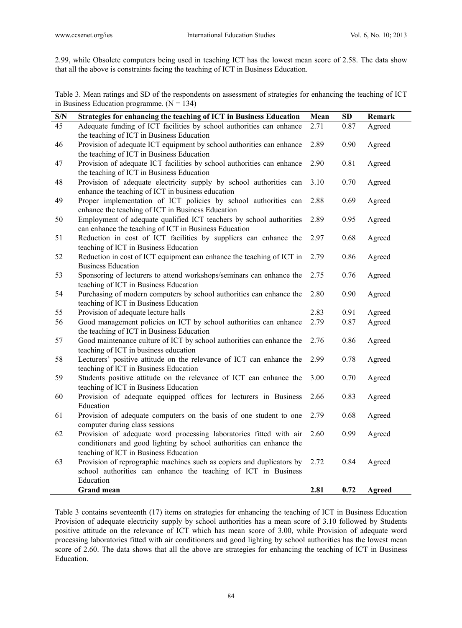2.99, while Obsolete computers being used in teaching ICT has the lowest mean score of 2.58. The data show that all the above is constraints facing the teaching of ICT in Business Education.

Table 3. Mean ratings and SD of the respondents on assessment of strategies for enhancing the teaching of ICT in Business Education programme.  $(N = 134)$ 

| S/N | Strategies for enhancing the teaching of ICT in Business Education                                                  | Mean | SD   | Remark |
|-----|---------------------------------------------------------------------------------------------------------------------|------|------|--------|
| 45  | Adequate funding of ICT facilities by school authorities can enhance                                                | 2.71 | 0.87 | Agreed |
|     | the teaching of ICT in Business Education                                                                           |      |      |        |
| 46  | Provision of adequate ICT equipment by school authorities can enhance                                               | 2.89 | 0.90 | Agreed |
|     | the teaching of ICT in Business Education                                                                           |      |      |        |
| 47  | Provision of adequate ICT facilities by school authorities can enhance<br>the teaching of ICT in Business Education | 2.90 | 0.81 | Agreed |
| 48  | Provision of adequate electricity supply by school authorities can                                                  | 3.10 | 0.70 | Agreed |
|     | enhance the teaching of ICT in business education                                                                   |      |      |        |
| 49  | Proper implementation of ICT policies by school authorities can                                                     | 2.88 | 0.69 | Agreed |
|     | enhance the teaching of ICT in Business Education                                                                   |      |      |        |
| 50  | Employment of adequate qualified ICT teachers by school authorities                                                 | 2.89 | 0.95 | Agreed |
|     | can enhance the teaching of ICT in Business Education                                                               |      |      |        |
| 51  | Reduction in cost of ICT facilities by suppliers can enhance the                                                    | 2.97 | 0.68 | Agreed |
|     | teaching of ICT in Business Education                                                                               |      |      |        |
| 52  | Reduction in cost of ICT equipment can enhance the teaching of ICT in                                               | 2.79 | 0.86 | Agreed |
|     | <b>Business Education</b>                                                                                           |      |      |        |
| 53  | Sponsoring of lecturers to attend workshops/seminars can enhance the                                                | 2.75 | 0.76 | Agreed |
|     | teaching of ICT in Business Education                                                                               |      |      |        |
| 54  | Purchasing of modern computers by school authorities can enhance the                                                | 2.80 | 0.90 | Agreed |
|     | teaching of ICT in Business Education                                                                               |      |      |        |
| 55  | Provision of adequate lecture halls                                                                                 | 2.83 | 0.91 | Agreed |
| 56  | Good management policies on ICT by school authorities can enhance                                                   | 2.79 | 0.87 | Agreed |
|     | the teaching of ICT in Business Education                                                                           |      |      |        |
| 57  | Good maintenance culture of ICT by school authorities can enhance the                                               | 2.76 | 0.86 | Agreed |
|     | teaching of ICT in business education                                                                               |      |      |        |
| 58  | Lecturers' positive attitude on the relevance of ICT can enhance the                                                | 2.99 | 0.78 | Agreed |
|     | teaching of ICT in Business Education                                                                               |      |      |        |
| 59  | Students positive attitude on the relevance of ICT can enhance the                                                  | 3.00 | 0.70 | Agreed |
|     | teaching of ICT in Business Education                                                                               |      |      |        |
| 60  | Provision of adequate equipped offices for lecturers in Business                                                    | 2.66 | 0.83 | Agreed |
|     | Education                                                                                                           |      |      |        |
| 61  | Provision of adequate computers on the basis of one student to one                                                  | 2.79 | 0.68 | Agreed |
|     | computer during class sessions                                                                                      |      |      |        |
| 62  | Provision of adequate word processing laboratories fitted with air                                                  | 2.60 | 0.99 | Agreed |
|     | conditioners and good lighting by school authorities can enhance the                                                |      |      |        |
|     | teaching of ICT in Business Education                                                                               |      |      |        |
| 63  | Provision of reprographic machines such as copiers and duplicators by                                               | 2.72 | 0.84 | Agreed |
|     | school authorities can enhance the teaching of ICT in Business                                                      |      |      |        |
|     | Education                                                                                                           |      |      |        |
|     | <b>Grand mean</b>                                                                                                   | 2.81 | 0.72 | Agreed |

Table 3 contains seventeenth (17) items on strategies for enhancing the teaching of ICT in Business Education Provision of adequate electricity supply by school authorities has a mean score of 3.10 followed by Students positive attitude on the relevance of ICT which has mean score of 3.00, while Provision of adequate word processing laboratories fitted with air conditioners and good lighting by school authorities has the lowest mean score of 2.60. The data shows that all the above are strategies for enhancing the teaching of ICT in Business Education.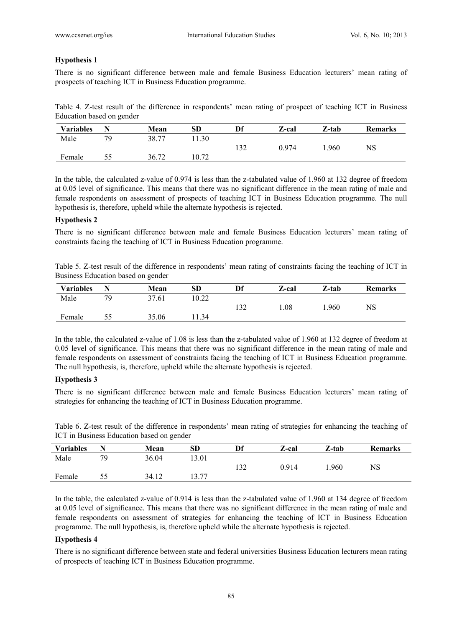#### **Hypothesis 1**

There is no significant difference between male and female Business Education lecturers' mean rating of prospects of teaching ICT in Business Education programme.

Table 4. Z-test result of the difference in respondents' mean rating of prospect of teaching ICT in Business Education based on gender

| <b>Variables</b> |    | Mean  | SD    | Df | Z-cal | Z-tab | <b>Remarks</b> |
|------------------|----|-------|-------|----|-------|-------|----------------|
| Male             | 79 | 38.77 | .30   |    |       |       |                |
|                  |    |       |       |    | 0974  | .960  | NS             |
| Female           |    | 36.72 | 10.72 |    |       |       |                |

In the table, the calculated z-value of 0.974 is less than the z-tabulated value of 1.960 at 132 degree of freedom at 0.05 level of significance. This means that there was no significant difference in the mean rating of male and female respondents on assessment of prospects of teaching ICT in Business Education programme. The null hypothesis is, therefore, upheld while the alternate hypothesis is rejected.

#### **Hypothesis 2**

There is no significant difference between male and female Business Education lecturers' mean rating of constraints facing the teaching of ICT in Business Education programme.

Table 5. Z-test result of the difference in respondents' mean rating of constraints facing the teaching of ICT in Business Education based on gender

| <b>Variables</b> |    | Mean  | SD    | Df | Z-cal | Z-tab | Remarks |
|------------------|----|-------|-------|----|-------|-------|---------|
| Male             | 70 | 37.61 | 10.22 |    |       |       |         |
|                  |    |       |       | 32 | L.08  | .960  | NS      |
| Female           | CC | 35.06 | 1.34  |    |       |       |         |

In the table, the calculated z-value of 1.08 is less than the z-tabulated value of 1.960 at 132 degree of freedom at 0.05 level of significance. This means that there was no significant difference in the mean rating of male and female respondents on assessment of constraints facing the teaching of ICT in Business Education programme. The null hypothesis, is, therefore, upheld while the alternate hypothesis is rejected.

#### **Hypothesis 3**

There is no significant difference between male and female Business Education lecturers' mean rating of strategies for enhancing the teaching of ICT in Business Education programme.

Table 6. Z-test result of the difference in respondents' mean rating of strategies for enhancing the teaching of ICT in Business Education based on gender

| <b>Variables</b> | N  | Mean  | SD    | Df | Z-cal | Z-tab | <b>Remarks</b> |
|------------------|----|-------|-------|----|-------|-------|----------------|
| Male             | 79 | 36.04 | 13.01 |    |       |       |                |
|                  |    |       |       | 32 | 0.914 | . 960 | NS             |
| Female           | CC | 34.12 | 1277  |    |       |       |                |

In the table, the calculated z-value of 0.914 is less than the z-tabulated value of 1.960 at 134 degree of freedom at 0.05 level of significance. This means that there was no significant difference in the mean rating of male and female respondents on assessment of strategies for enhancing the teaching of ICT in Business Education programme. The null hypothesis, is, therefore upheld while the alternate hypothesis is rejected.

# **Hypothesis 4**

There is no significant difference between state and federal universities Business Education lecturers mean rating of prospects of teaching ICT in Business Education programme.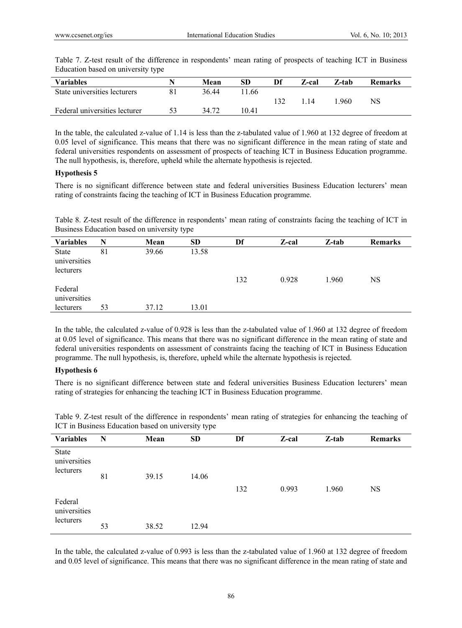Table 7. Z-test result of the difference in respondents' mean rating of prospects of teaching ICT in Business Education based on university type

| <b>Variables</b>              | Mean  | SD    | Df | Z-cal | Z-tab | <b>Remarks</b> |
|-------------------------------|-------|-------|----|-------|-------|----------------|
| State universities lecturers  | 36.44 | 1.66  |    |       |       |                |
|                               |       |       |    | -14   | .960  | NS             |
| Federal universities lecturer | 34.72 | 10.41 |    |       |       |                |

In the table, the calculated z-value of 1.14 is less than the z-tabulated value of 1.960 at 132 degree of freedom at 0.05 level of significance. This means that there was no significant difference in the mean rating of state and federal universities respondents on assessment of prospects of teaching ICT in Business Education programme. The null hypothesis, is, therefore, upheld while the alternate hypothesis is rejected.

# **Hypothesis 5**

There is no significant difference between state and federal universities Business Education lecturers' mean rating of constraints facing the teaching of ICT in Business Education programme.

Table 8. Z-test result of the difference in respondents' mean rating of constraints facing the teaching of ICT in Business Education based on university type

| <b>Variables</b>                          | N  | Mean  | <b>SD</b> | Df  | Z-cal | Z-tab | <b>Remarks</b> |
|-------------------------------------------|----|-------|-----------|-----|-------|-------|----------------|
| <b>State</b><br>universities<br>lecturers | 81 | 39.66 | 13.58     |     |       |       |                |
|                                           |    |       |           | 132 | 0.928 | 1.960 | NS             |
| Federal<br>universities                   |    |       |           |     |       |       |                |
| lecturers                                 | 53 | 37.12 | 13.01     |     |       |       |                |

In the table, the calculated z-value of 0.928 is less than the z-tabulated value of 1.960 at 132 degree of freedom at 0.05 level of significance. This means that there was no significant difference in the mean rating of state and federal universities respondents on assessment of constraints facing the teaching of ICT in Business Education programme. The null hypothesis, is, therefore, upheld while the alternate hypothesis is rejected.

# **Hypothesis 6**

There is no significant difference between state and federal universities Business Education lecturers' mean rating of strategies for enhancing the teaching ICT in Business Education programme.

Table 9. Z-test result of the difference in respondents' mean rating of strategies for enhancing the teaching of ICT in Business Education based on university type

| <b>Variables</b>                     | N  | Mean  | <b>SD</b> | Df  | Z-cal | Z-tab | <b>Remarks</b> |
|--------------------------------------|----|-------|-----------|-----|-------|-------|----------------|
| State<br>universities<br>lecturers   | 81 | 39.15 | 14.06     | 132 | 0.993 | 1.960 | <b>NS</b>      |
| Federal<br>universities<br>lecturers | 53 | 38.52 | 12.94     |     |       |       |                |

In the table, the calculated z-value of 0.993 is less than the z-tabulated value of 1.960 at 132 degree of freedom and 0.05 level of significance. This means that there was no significant difference in the mean rating of state and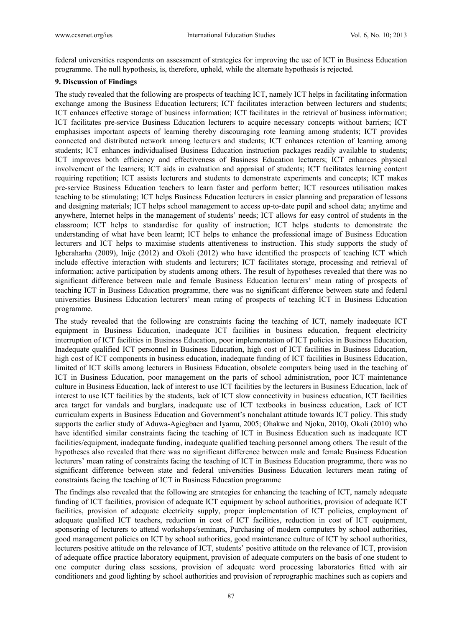federal universities respondents on assessment of strategies for improving the use of ICT in Business Education programme. The null hypothesis, is, therefore, upheld, while the alternate hypothesis is rejected.

# **9. Discussion of Findings**

The study revealed that the following are prospects of teaching ICT, namely ICT helps in facilitating information exchange among the Business Education lecturers; ICT facilitates interaction between lecturers and students; ICT enhances effective storage of business information; ICT facilitates in the retrieval of business information; ICT facilitates pre-service Business Education lecturers to acquire necessary concepts without barriers; ICT emphasises important aspects of learning thereby discouraging rote learning among students; ICT provides connected and distributed network among lecturers and students; ICT enhances retention of learning among students; ICT enhances individualised Business Education instruction packages readily available to students; ICT improves both efficiency and effectiveness of Business Education lecturers; ICT enhances physical involvement of the learners; ICT aids in evaluation and appraisal of students; ICT facilitates learning content requiring repetition; ICT assists lecturers and students to demonstrate experiments and concepts; ICT makes pre-service Business Education teachers to learn faster and perform better; ICT resources utilisation makes teaching to be stimulating; ICT helps Business Education lecturers in easier planning and preparation of lessons and designing materials; ICT helps school management to access up-to-date pupil and school data; anytime and anywhere, Internet helps in the management of students' needs; ICT allows for easy control of students in the classroom; ICT helps to standardise for quality of instruction; ICT helps students to demonstrate the understanding of what have been learnt; ICT helps to enhance the professional image of Business Education lecturers and ICT helps to maximise students attentiveness to instruction. This study supports the study of Igberaharha (2009), Inije (2012) and Okoli (2012) who have identified the prospects of teaching ICT which include effective interaction with students and lecturers; ICT facilitates storage, processing and retrieval of information; active participation by students among others. The result of hypotheses revealed that there was no significant difference between male and female Business Education lecturers' mean rating of prospects of teaching ICT in Business Education programme, there was no significant difference between state and federal universities Business Education lecturers' mean rating of prospects of teaching ICT in Business Education programme.

The study revealed that the following are constraints facing the teaching of ICT, namely inadequate ICT equipment in Business Education, inadequate ICT facilities in business education, frequent electricity interruption of ICT facilities in Business Education, poor implementation of ICT policies in Business Education, Inadequate qualified ICT personnel in Business Education, high cost of ICT facilities in Business Education, high cost of ICT components in business education, inadequate funding of ICT facilities in Business Education, limited of ICT skills among lecturers in Business Education, obsolete computers being used in the teaching of ICT in Business Education, poor management on the parts of school administration, poor ICT maintenance culture in Business Education, lack of interest to use ICT facilities by the lecturers in Business Education, lack of interest to use ICT facilities by the students, lack of ICT slow connectivity in business education, ICT facilities area target for vandals and burglars, inadequate use of ICT textbooks in business education, Lack of ICT curriculum experts in Business Education and Government's nonchalant attitude towards ICT policy. This study supports the earlier study of Aduwa-Agiegbaen and Iyamu, 2005; Ohakwe and Njoku, 2010), Okoli (2010) who have identified similar constraints facing the teaching of ICT in Business Education such as inadequate ICT facilities/equipment, inadequate funding, inadequate qualified teaching personnel among others. The result of the hypotheses also revealed that there was no significant difference between male and female Business Education lecturers' mean rating of constraints facing the teaching of ICT in Business Education programme, there was no significant difference between state and federal universities Business Education lecturers mean rating of constraints facing the teaching of ICT in Business Education programme

The findings also revealed that the following are strategies for enhancing the teaching of ICT, namely adequate funding of ICT facilities, provision of adequate ICT equipment by school authorities, provision of adequate ICT facilities, provision of adequate electricity supply, proper implementation of ICT policies, employment of adequate qualified ICT teachers, reduction in cost of ICT facilities, reduction in cost of ICT equipment, sponsoring of lecturers to attend workshops/seminars, Purchasing of modern computers by school authorities, good management policies on ICT by school authorities, good maintenance culture of ICT by school authorities, lecturers positive attitude on the relevance of ICT, students' positive attitude on the relevance of ICT, provision of adequate office practice laboratory equipment, provision of adequate computers on the basis of one student to one computer during class sessions, provision of adequate word processing laboratories fitted with air conditioners and good lighting by school authorities and provision of reprographic machines such as copiers and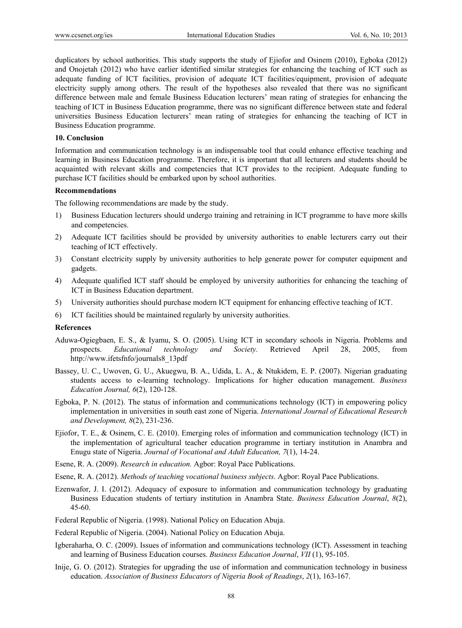duplicators by school authorities. This study supports the study of Ejiofor and Osinem (2010), Egboka (2012) and Onojetah (2012) who have earlier identified similar strategies for enhancing the teaching of ICT such as adequate funding of ICT facilities, provision of adequate ICT facilities/equipment, provision of adequate electricity supply among others. The result of the hypotheses also revealed that there was no significant difference between male and female Business Education lecturers' mean rating of strategies for enhancing the teaching of ICT in Business Education programme, there was no significant difference between state and federal universities Business Education lecturers' mean rating of strategies for enhancing the teaching of ICT in Business Education programme.

#### **10. Conclusion**

Information and communication technology is an indispensable tool that could enhance effective teaching and learning in Business Education programme. Therefore, it is important that all lecturers and students should be acquainted with relevant skills and competencies that ICT provides to the recipient. Adequate funding to purchase ICT facilities should be embarked upon by school authorities.

### **Recommendations**

The following recommendations are made by the study.

- 1) Business Education lecturers should undergo training and retraining in ICT programme to have more skills and competencies.
- 2) Adequate ICT facilities should be provided by university authorities to enable lecturers carry out their teaching of ICT effectively.
- 3) Constant electricity supply by university authorities to help generate power for computer equipment and gadgets.
- 4) Adequate qualified ICT staff should be employed by university authorities for enhancing the teaching of ICT in Business Education department.
- 5) University authorities should purchase modern ICT equipment for enhancing effective teaching of ICT.
- 6) ICT facilities should be maintained regularly by university authorities.

#### **References**

- Aduwa-Ogiegbaen, E. S., & Iyamu, S. O. (2005). Using ICT in secondary schools in Nigeria. Problems and prospects. *Educational technology and Society.* Retrieved April 28, 2005, from http://www.ifetsfnfo/journals8\_13pdf
- Bassey, U. C., Uwoven, G. U., Akuegwu, B. A., Udida, L. A., & Ntukidem, E. P. (2007). Nigerian graduating students access to e-learning technology. Implications for higher education management. *Business Education Journal, 6*(2), 120-128.
- Egboka, P. N. (2012). The status of information and communications technology (ICT) in empowering policy implementation in universities in south east zone of Nigeria. *International Journal of Educational Research and Development, 8*(2), 231-236.
- Ejiofor, T. E., & Osinem, C. E. (2010). Emerging roles of information and communication technology (ICT) in the implementation of agricultural teacher education programme in tertiary institution in Anambra and Enugu state of Nigeria. *Journal of Vocational and Adult Education, 7*(1), 14-24.
- Esene, R. A. (2009). *Research in education.* Agbor: Royal Pace Publications.
- Esene, R. A. (2012). *Methods of teaching vocational business subjects*. Agbor: Royal Pace Publications.
- Ezenwafor, J. I. (2012). Adequacy of exposure to information and communication technology by graduating Business Education students of tertiary institution in Anambra State. *Business Education Journal*, *8*(2), 45-60.
- Federal Republic of Nigeria. (1998). National Policy on Education Abuja.
- Federal Republic of Nigeria. (2004). National Policy on Education Abuja.
- Igberaharha, O. C. (2009). Issues of information and communications technology (ICT). Assessment in teaching and learning of Business Education courses. *Business Education Journal*, *VII* (1), 95-105.
- Inije, G. O. (2012). Strategies for upgrading the use of information and communication technology in business education. *Association of Business Educators of Nigeria Book of Readings*, *2*(1), 163-167.